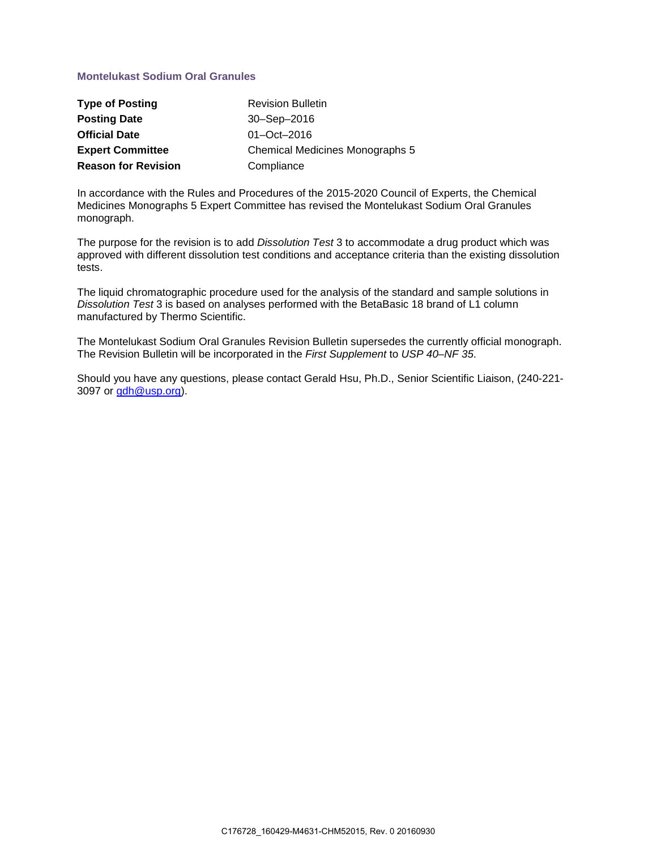### **Montelukast Sodium Oral Granules**

| <b>Type of Posting</b>     | <b>Revision Bulletin</b>               |
|----------------------------|----------------------------------------|
| <b>Posting Date</b>        | 30-Sep-2016                            |
| <b>Official Date</b>       | $01 - Oct - 2016$                      |
| <b>Expert Committee</b>    | <b>Chemical Medicines Monographs 5</b> |
| <b>Reason for Revision</b> | Compliance                             |

In accordance with the Rules and Procedures of the 2015-2020 Council of Experts, the Chemical Medicines Monographs 5 Expert Committee has revised the Montelukast Sodium Oral Granules monograph.

The purpose for the revision is to add *Dissolution Test* 3 to accommodate a drug product which was approved with different dissolution test conditions and acceptance criteria than the existing dissolution tests.

The liquid chromatographic procedure used for the analysis of the standard and sample solutions in *Dissolution Test* 3 is based on analyses performed with the BetaBasic 18 brand of L1 column manufactured by Thermo Scientific.

The Montelukast Sodium Oral Granules Revision Bulletin supersedes the currently official monograph. The Revision Bulletin will be incorporated in the *First Supplement* to *USP 40–NF 35*.

Should you have any questions, please contact Gerald Hsu, Ph.D., Senior Scientific Liaison, (240-221- 3097 or [gdh@usp.org\)](mailto:gdh@usp.org).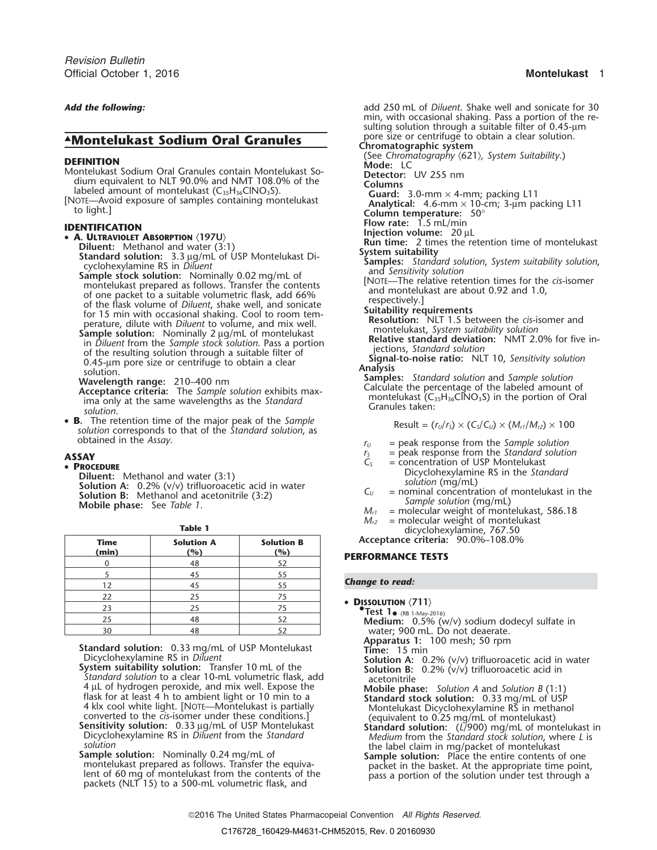- 
- 

- -

montelukast prepared as follows. Transfer the contents [NOTE—THE relative retention times for the of one packet to a suitable volumetric flask, add 66% and montelukast are about 0.92 and 1.0,

• B. The retention time of the major peak of the Sample **S.** The retention time of the major peak of the *sumple*<br>solution corresponds to that of the *Standard solution*, as  $Result = (r_0/r_s) \times (C_s/C_v) \times (M_{r1}/M_{r2}) \times 100$ **obtained in the** *Assay***.**  $r_U$  = peak response from the *Sample solution*<br>  $r_S$  = peak response from the *Standard solution*<br>  $r_S$  = peak response from the *Standard solution* 

**Diluent:** Methanol and water (3:1)<br> **Solution A:** 0.2% (v/v) trifluoroacetic acid in water<br> **Solution B:** Methanol and acetonitrile (3:2)<br> **Solution Mobile phase:** See Table 1.<br>
Mobile phase: See Table 1.<br>
Multimeters ar

|             |                   |                   | $arcy$ crotic $x$ $y$ identified, $y$ or $\frac{1}{2}$ or |
|-------------|-------------------|-------------------|-----------------------------------------------------------|
| <b>Time</b> | <b>Solution A</b> | <b>Solution B</b> | Acceptance criteria: 90.0%-108.0%                         |
| (min)       | (%)               | (%)               | <b>PERFORMANCE TESTS</b>                                  |
|             |                   |                   |                                                           |
|             |                   | 55                |                                                           |
|             |                   |                   | <b>Change to read:</b>                                    |
| 1つ          |                   |                   |                                                           |
| 22          |                   |                   |                                                           |
| 23          |                   |                   | • DISSOLUTION $\langle 711 \rangle$                       |
|             |                   |                   | <b>• Test 1.</b> (RB 1-May-2016)                          |
| 25          | 48                |                   | <b>Medium:</b> $0.5\%$ (w/v) sodium dodecyl sulfate in    |
| 30          | 48                |                   | water: 900 mL. Do not deaerate.                           |

**Apparatus 1:** 100 mesh; 50 rpm<br>**COMPARTIGES 1:** 100 mesh; 50 rpm<br>Dicyclohexylamine RS in *Diluent* **Time:** 15 min **Solution A:** 0.2% (y/y) trifluoroad

Dicyclohexylamine RS in *Diluent* System suitability solution: Transfer 10 mL of the System suitability solution: Transfer 10 mL of the Solution B: 0.2% (v/v) trifluoroacetic acid in vater Standard solution to a clear 10-4 µL of hydrogen peroxide, and mix well. Expose the<br>
flask for at least 4 h to ambient light or 10 min to a<br>
4 klx cool white light. [NOTE—Montelukast is partially<br>
converted to the *cis*-isomer under these conditions.]<br>

**Sample solution:** Nominally 0.24 mg/mL of **Sample solution:** Place the entire contents of one proteint, and **Sample solution:** Place the entire contents of one proteint, and the basket. At the appropriate time point, Figure in the basket. At the appropriate time point, lent of 60 mg of montelukast from the contents of the pass a portion of the solution under test through a packets (NLT 15) to a 500-mL volumetric flask, and

*Add the following:* add 250 mL of *Diluent*. Shake well and sonicate for 30 min, with occasional shaking. Pass a portion of the re- **.** sulting solution through a suitable filter of 0.45-μ<sup>m</sup> pore size or centrifuge to obtain a clear solution.<br>Chromatographic system **AMontelukast Sodium Oral Granules**<br>Chromatographic system<br>(See Chromatography (621), System Suitability.) **DEFINITION**<br>
Montelukast Sodium Oral Granules contain Montelukast So-<br>
dium equivalent to NLT 90.0% and NMT 108.0% of the<br>
labeled amount of montelukast (C<sub>35</sub>H<sub>36</sub>ClNO<sub>3</sub>S).<br>
[NOTE—Avoid exposure of samples containing mo **FIORTIFICATION**<br> **• A. ULTRAVIOLET ABSORPTION** (197U)<br> **Figure 1.5 mL/min international and water (3:1)**<br> **Run time:** 2 times the retention time of montelukast Diluent: Methanol and water (3:1)<br>
Standard solution: 3.3 ug/mL of USP Montelukast Di-<br>
cyclohexylamine RS in Diluent<br>
Samples: Standard solution, System suitability solution,<br>
Samples: Standard solution, System suitabilit of the flask volume of a suitable volume in also, and solve<br>of the flask volume of the flask with occasional shaking. Cool to room tem-<br>perature, dilute with *Diluent* to volume, and mix well.<br>**Sample solution:** Nominally **Wavelength range:** 210–400 nm<br> **Acceptance criteria:** The Sample solution exhibits max-<br>
ima only at the same wavelengths as the *Standard*<br>
solution.<br>
Samples: Standard Calculate the percentage of the labeled amount of<br>

- 
- 
- **ASSAY**<br> **PROCEDURE**<br> **PROCEDURE**<br> **PROCEDURE**<br>
Diluent: Methanol and water (3:1)<br>
Diluent: Methanol and water (3:1)<br>
Disyclohexylamine RS in the *Standard* 
	-
	- $M_{r1}$  = molecular weight of montelukast, 586.18<br> $M_{r2}$  = molecular weight of montelukast
	- **Table 1 Table 1 Table 1 M**<sub>*r2*</sub> = molecular weight of montelus dicyclohexylamine, 767.50

**Time Solution A Solution B Acceptance criteria:** 90.0%–108.0%

### **(min) (%) (%) PERFORMANCE TESTS**

### **Change to read:**

- - water; 900 mL. Do not deaerate.
	-

- 
- 
- 
- 
-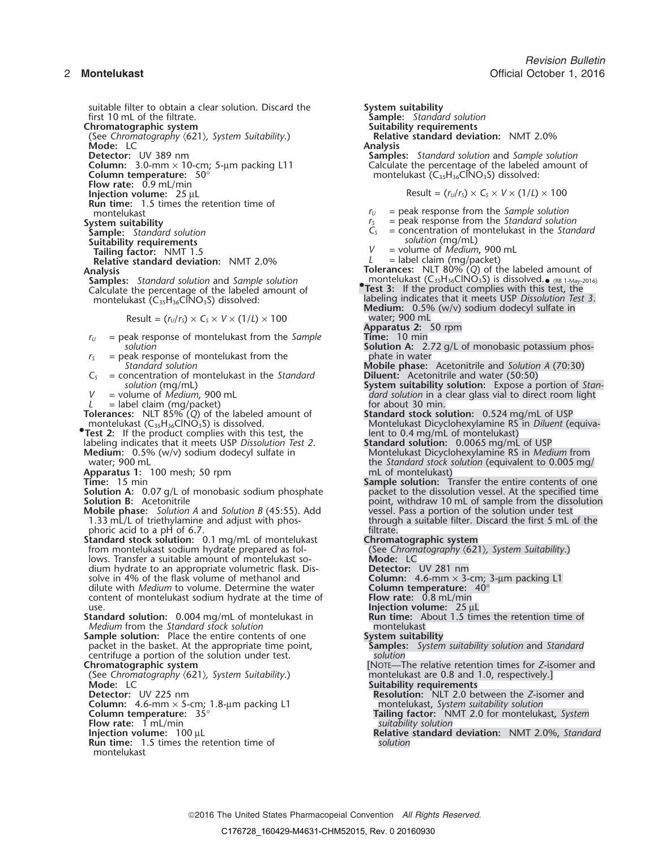suitable filter to obtain a clear solution. Discard the **System suitability**<br>first 10 mL of the filtrate. **Sample:** Standar

(See Chromatography  $\langle 621 \rangle$ , *System Suitability*.) **Relation:** Relation: LC<br>Mode: LC **Mode:** LC<br>**Detector:** UV 389 nm

**Column:** 3.0-mm × 10-cm; 5-µm packing L11<br>Column temperature: 50°

**Flow rate:** 0.9 mL/min<br>**Injection volume:** 25 µL

**Run time:** 1.5 times the retention time of

**Sample:** *Standard solution* C.<br> **Suitability requirements** *solution* (*mg*) *solution* (*mg*) *solution* (*mg*) *solution* **(***mg***)** *solution* **(***mg***)** *assisted (mga)* **(***mga)* **(***mga)* **(***mga)* **(***mga)* **(***mga)* **(***mga)* 

**Relative standard deviation:** NMT 2.0%

Result = 
$$
(r_U/r_S) \times C_S \times V \times (1/L) \times 100
$$

- $r_U$  = peak response of montelukast from the *Sample*
- *r*<sub>*S*</sub> = peak response of montelukast from the phate in water phate in water and the phase:
- $C<sub>S</sub>$  = concentration of montelukast in the *Standard solution* (mg/mL)
- 

 $L =$  label claim (mg/packet)  $\qquad \qquad$  for about 30 min.

**Tolerances:** NLT 85% (*Q*) of the labeled amount of **Standard stock solution:** 0.524 mg/mL of USP

**Test 2:** If the product complies with this test, the lent to 0.4 mg/mL of montelukast)<br>labeling indicates that it meets USP Dissolution Test 2. **Standard solution:** 0.0065 mg/mL of USP labeling indicates that it meets USP *Dissolution Test 2*. **Medium:** 0.5% (w/v) sodium dodecyl sulfate in

- **Apparatus 1:** 100 mesh; 50 rpm<br>**Time:** 15 min
- 

**Solution A:** 0.07 g/L of monobasic sodium phosphate **Solution B:** Acetonitrile

**Mobile phase:** *Solution A* and *Solution B* (45:55). Add 1.33 mL/L of triethylamine and adjust with phosphoric acid to a pH of 6.7.

**Standard stock solution:** 0.1 mg/mL of montelukast<br>from montelukast sodium hydrate prepared as fol-<br>(See Chromatography  $(621)$ , System Suitability.) from montelukast sodium hydrate prepared as fol- (See *Chromatography*  $\langle 621 \rangle$ *, System Suitability*.)<br>lows. Transfer a suitable amount of montelukast so- **Mode:** LC dium hydrate to an appropriate volumetric flask. Dis-<br>solve in 4% of the flask volume of methanol and<br>**Column:** 4.6-mm × 3-cm; 3-µm packing L1 solve in 4% of the flask volume of methanol and **Column:** 4.6-mm  $\times$  3-cm; 3-cm; 3-cm; 3-cm; 3-cm; 3-cm; 3-cm; 3-cm; 3-cm; 3-cm; 3-cm; 3-cm; 3-cm; 3-cm; 3-cm; 3-cm; 3-cm; 3-cm; 3-cm; 3-cm; 3-cm; 3-cm; 3-cm; 3-cm; 3-cm; 3 dilute with *Medium* to volume. Determine the water **Column temperature:**<br>content of montelukast sodium hydrate at the time of **Flow rate:** 0.8 mL/min content of montelukast sodium hydrate at the time of

**Standard solution:** 0.004 mg/mL of montelukast in **Run time:** About 1.5 times the retention time of **Medium** from the *Standard stock solution* 

**Sample solution:** Place the entire contents of one **System suitability**<br>
packet in the basket. At the appropriate time point, **Samples:** System suitability solution and Standard packet in the basket. At the appropriate time point, centrifuge a portion of the solution under test. *solution*

(See *Chromatography* 〈621〉*, System Suitability*.) montelukast are 0.8 and 1.0, respectively.]

**Flow rate:** 1 mL/min **Injection volume:** 100 µL

**Run time:** 1.5 times the retention time of montelukast

 $S$ ample: *Standard solution*<br>Suitability requirements **Chromatographic system**<br>
(See Chromatography (621), System Suitability.) **Belative standard deviation:** NMT 2.0% **Samples:** *Standard solution* and *Sample solution* Calculate the percentage of the labeled amount of montelukast (C<sub>35</sub>H<sub>36</sub>ClNO<sub>3</sub>S) dissolved:  $Result = (r<sub>U</sub>/r<sub>S</sub>) \times C<sub>S</sub> \times V \times (1/L) \times 100$ montelukast *r* $r_U$  = peak response from the *Sample solution* System suitability<br>
System suitability<br>
Sample: Standard solution<br>
Sample: Standard solution<br>
Sample: Standard solution **Sample:** *Standard solution <sup>C</sup><sup>S</sup>* = concentration of montelukast in the *Standard* = volume of *Medium*, 900 mL<br>= label claim (mg/packet) **Analysis Tolerances:** NLT 80% (*Q*) of the labeled amount of **Samples:** *Standard solution* and *Sample solution* montelukast (C<sub>35</sub>H<sub>36</sub>ClNO<sub>3</sub>S) is dissolved.• (RB 1-May-2016) **Samples:** Standard solution and Sample solution<br>Calculate the percentage of the labeled amount of **• • •. • •163:** If the product complies with this test, the montelukast (C<sub>35</sub>H<sub>36</sub>ClNO<sub>3</sub>S) dissolved: **•** la labeling indicates that it meets USP *Dissolution Test 3.* Medium: 0.5% (w/v) sodium dodecyl sulfate in Result = (*<sup>r</sup>U*/*<sup>r</sup>S*) <sup>×</sup> *C<sup>S</sup>* <sup>×</sup> *<sup>V</sup>* <sup>×</sup> (1/*L*) × 100 water; 900 mL **Apparatus 2:** 50 rpm **Solution Solution A:** 2.72 g/L of monobasic potassium phos-*Mobile phase:* Acetonitrile and *Solution A* (70:30) **Diluent:** Acetonitrile and water (50:50) *solution* (mg/mL) **System suitability solution:** Expose a portion of *Stan* = volume of *Medium*, 900 mL and *solution* in a clear glass vial to direct room light *V* = volume of *Medium*, 900 mL *dard solution* in a clear glass vial to direct room light <br> *L* = label claim (mg/packet) discussed a series of the solut 30 min. montelukast (C35H36ClNO3S) is dissolved. Montelukast Dicyclohexylamine RS in *Diluent* (equiva- **•Medium:** 0.5% (w/v) sodium dodecyl sulfate in Montelukast Dicyclohexylamine RS in *Medium* from vater; 900 mL<br>water; 900 mL the *Standard stock solution* (equivalent to 0.005 mg/<br>mL of montelukast) **Sample solution:** Transfer the entire contents of one packet to the dissolution vessel. At the specified time point, withdraw 10 mL of sample from the dissolution vessel. Pass a portion of the solution under test through a suitable filter. Discard the first 5 mL of the filtrate. use. **Injection volume:** 25 μL [NOTE—The relative retention times for *Z*-isomer and **Mode:** LC<br> **Detector:** UV 225 nm<br> **Detector:** UV 225 nm **Resolution:** NLT 2.0 between the *Z*-isomer and **Column:** 4.6-mm × 5-cm; 1.8-μm packing L1 montelukast, *System suitability solution*<br> **Column temperature:** 35°<br> **Tailing factor:** NMT 2.0 for monteluka Tailing factor: NMT 2.0 for montelukast, *System*<br>suitability solution

**Relative standard deviation:** NMT 2.0%, *Standard solution*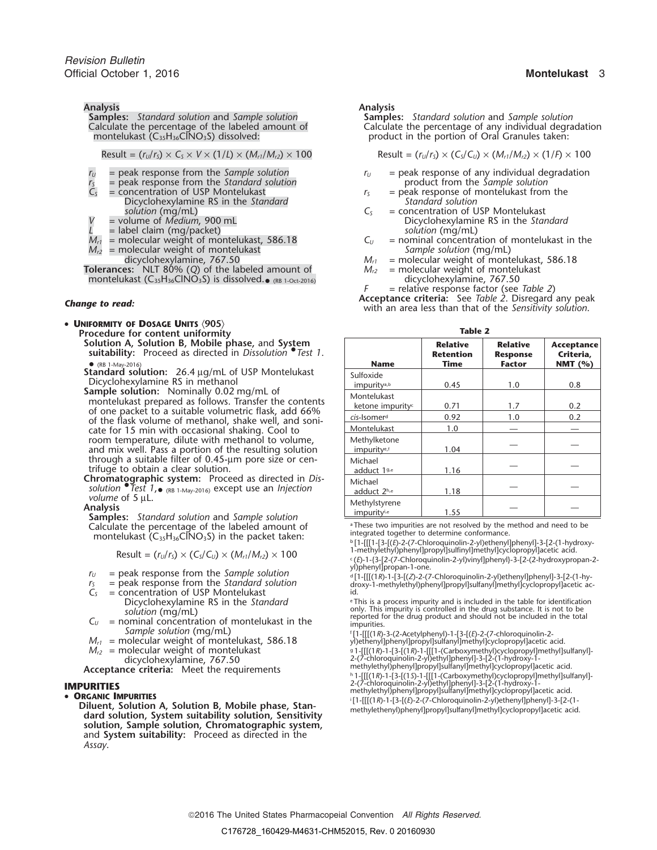**Analysis Analysis** Calculate the percentage of the labeled amount of montelukast  $(C_{35}H_{36}CINO_3S)$  dissolved:

$$
Result = (rU/rS) \times CS \times V \times (1/L) \times (Mr1/Mr2) \times 100
$$

- 
- *r*<sub>S</sub> = peak response from the *Standard solution*<br>*C<sub>S</sub>* = concentration of USP Montelukast
- Dicyclohexylamine RS in the *Standard Standard solution*
- 
- 
- 
- 
- **Tolerances:** NLT 80% (*Q*) of the labeled amount of *Mr2* = molecular weight of montelukast montelukast (C $_{35}$ H $_{36}$ ClNO $_{3}$ S) is dissolved. $_{\bullet}$

• **<sup>U</sup>NIFORMITY OF DOSAGE UNITS** 〈**905**〉 **Table 2 Procedure for content uniformity Solution A, Solution B, Mobile phase, and System suitability:** Proceed as directed in *Dissolution* Test 1.

- Dicyclohexylamine RS in methanol<br>**Sample solution:** Nominally 0.02 mg/mL of<br>montelukast prepared as follows. Transfer the contents<br>of one packet to a suitable volumetric flask, add 66%<br>of the flask volume of methanol, shak cate for 15 min with occasional shaking. Cool to  $\qquad \qquad \text{Montelukast} \qquad \qquad 1.0 \qquad \qquad \text{---} \qquad \qquad \text{---}$ room temperature, dilute with methanol to volume,  $\qquad \qquad \mid$  Methylketone  $\qquad \qquad \mid$   $\qquad \qquad \_$ and mix well. Pass a portion of the resulting solution through a suitable filter of  $0.45$ - $\mu$ m pore size or centrifuge to obtain a clear solution.
- **Chromatographic system:** Proceed as directed in *Dis-*

. 1.55 **Samples:** *Standard solution* and *Sample solution* Calculate the percentage of the labeled amount of montelukast ( $C_{35}H_{36}CINO_3S$ ) in the packet taken:

$$
Result = (rU/rS) \times (CS/CU) \times (Mr1/Mr2) \times 100
$$

- 
- $r_U$  = peak response from the *Sample solution*<br> $r_S$  = peak response from the *Standard solution*
- = concentration of USP Montelukast
- $C_U$  = nominal concentration of montelukast in the sumple solution (mg/ml)<br>  $M_{r1}$  = molecular weight of montelukast, 586.18<br>  $M_{r1}$  = molecular weight of montelukast, 586.18<br>  $M_{r1}$  = molecular weight of montelukast,
- 
- 
- 

Diluent, Solution A, Solution B, Mobile phase, Stan-<br>dard solution, System suitability solution, Sensitivity<br>dard solution, System suitability solution, Sensitivity **solution, Sample solution, Chromatographic system,** and **System suitability:** Proceed as directed in the *Assay*.

**Samples:** *Standard solution* and *Sample solution* Calculate the percentage of any individual degradation product in the portion of Oral Granules taken:

Result =  $(r_U/r_S) \times (C_S/C_U) \times (M_{r1}/M_{r2}) \times (1/F) \times 100$ 

- $r_U$  = peak response from the *Sample solution*  $r_U$  = peak response of any individual degradation  $r_S$  = peak response of any individual degradation
	- $r<sub>S</sub>$  = peak response of montelukast from the *Standard solution*
	- *solution* (mg/mL)<br> *C<sub>S</sub>* = concentration of USP Montelukast<br>
	Dicyclohexylamine RS in the Star *Picyclohexylamine RS in the Standard*
- $L =$  label claim (mg/packet)<br>  $M_{cl} =$  molecular weight of montelukast, 586.18  $M_{cl} =$  nominal concentration of montelukast in the  $M =$  molecular weight of montelukast, 586.18  $C_U =$  nominal concentration of montelukast montelukast montelukast *Sample solution* (mg/mL)  $M_{r2}$  = molecular weight of montelukast *Sample solution* (mg/mL)<br>dicyclohexylamine, 767.50<br>*M*<sub>r1</sub> = molecular weight of montelukast, 586.18
	- dicyclohexylamine, 767.50 *Mr1* = molecular weight of montelukast, 586.18
		- dicyclohexylamine, 767.50
			-

*F* = relative response factor (see *Table 2*) **Acceptance criteria:** See *Table 2*. Disregard any peak *Change to read:* with an area less than that of the *Sensitivity solution*.

| Procedure for content uniformity<br>Solution A, Solution B, Mobile phase, and System<br>suitability: Proceed as directed in Dissolution <i>Test 1</i> .<br>• (RB 1-May-2016) | <b>Name</b>                                 | <b>Relative</b><br><b>Retention</b><br>Time | <b>Relative</b><br><b>Response</b><br><b>Factor</b> | Acceptance<br>Criteria,<br>NMT $(% )$ |
|------------------------------------------------------------------------------------------------------------------------------------------------------------------------------|---------------------------------------------|---------------------------------------------|-----------------------------------------------------|---------------------------------------|
| Standard solution: 26.4 µg/mL of USP Montelukast<br>Dicyclohexylamine RS in methanol                                                                                         | Sulfoxide<br>impurity <sup>a,b</sup>        | 0.45                                        | 1.0                                                 | 0.8                                   |
| Sample solution: Nominally 0.02 mg/mL of<br>montelukast prepared as follows. Transfer the contents<br>of one packet to a suitable volumetric flask, add 66%                  | Montelukast<br>ketone impurity <sup>c</sup> | 0.71                                        | 1.7                                                 | 0.2                                   |
| of the flask volume of methanol, shake well, and soni-                                                                                                                       | cis-Isomer <sup>d</sup>                     | 0.92                                        | 1.0                                                 | 0.2                                   |
| cate for 15 min with occasional shaking. Cool to                                                                                                                             | Montelukast                                 | 1.0                                         |                                                     |                                       |
| room temperature, dilute with methanol to volume,<br>and mix well. Pass a portion of the resulting solution                                                                  | Methylketone<br>impurity <sup>e,f</sup>     | 1.04                                        |                                                     |                                       |
| through a suitable filter of 0.45-um pore size or cen-<br>trifuge to obtain a clear solution.                                                                                | Michael<br>adduct 1 <sup>g,e</sup>          | 1.16                                        |                                                     |                                       |
| Chromatographic system: Proceed as directed in Dis-<br>solution $\bullet$ Test 1, $\bullet$ (RB 1-May-2016) except use an Injection                                          | Michael<br>adduct 2h,e                      | 1.18                                        |                                                     |                                       |
| volume of 5 µL.<br>Analysis<br>Samples: Standard solution and Sample solution                                                                                                | Methylstyrene<br>impurityie                 | 1.55                                        |                                                     |                                       |

<sup>a</sup> These two impurities are not resolved by the method and need to be integrated together to determine conformance.

 ${\rm Result} = (r_0/r_5) \times (C_5/C_0) \times (M_{r1}/M_{r2}) \times 100$ <br>Result =  $(r_0/r_5) \times (C_5/C_0) \times (M_{r1}/M_{r2}) \times 100$ <br>Communicated and the set of a state of the set of the set of the set of the set of the set of the set of the set of the set of

.(*E*)-1-{3-[2-(7-Chloroquinolin-2-yl)vinyl]phenyl}-3-[2-(2-hydroxypropan-2-

 $r_y$  = peak response from the Sample solution<br>  $r_s$  = peak response from the Standard solution<br>  $C_s$  = concentration of USP Montelukast<br>  $C_s$  = concentration of USP Montelukast<br>  $C_s$  = concentration of USP Montelukast<br>  $C$ 

Dicyclohexylamine RS in the *Standard* <sup>e</sup> This is a process impurity and is included in the table for identification solution (mg/mL) only. This impurity is controlled in the drug substance. It is not to be reported for t

*Mr2* = molecular weight of montelukast <sup>g</sup> .1-[[[(1*R*)-1-[3-[(1*R*)-1-[[[1-(Carboxymethyl)cyclopropyl]methyl]sulfanyl]-

dicyclohexylamine, 767.50 2-1-2-2-(7-chloroquinolin-2-yl)ethyl]phenyl]-3-[2-(1-hydroxy-1-<br>methylethyllphenyl]propyl]sulfanyl]methylloudoropyllacetic acid.<br>http://acteptance criteria: Meet the requirements http://actebra.ht

**IMPURITIES**<br> **IMPURITIES**<br> **IMPURITIES**<br> **IMPURITIES**<br> **IMPURITIES**<br> **IMPURITIES**<br> **IMPURITIES**<br> **IMPURITIES**<br> **IMPURITIES ORGANIC IMPURITIES**<br><sup>i</sup>[1-[[[(1R)-1-[3-[(E)-2-(7-Chloroquinolin-2-yl)ethenyl]phenyl]-3-[2-(1-